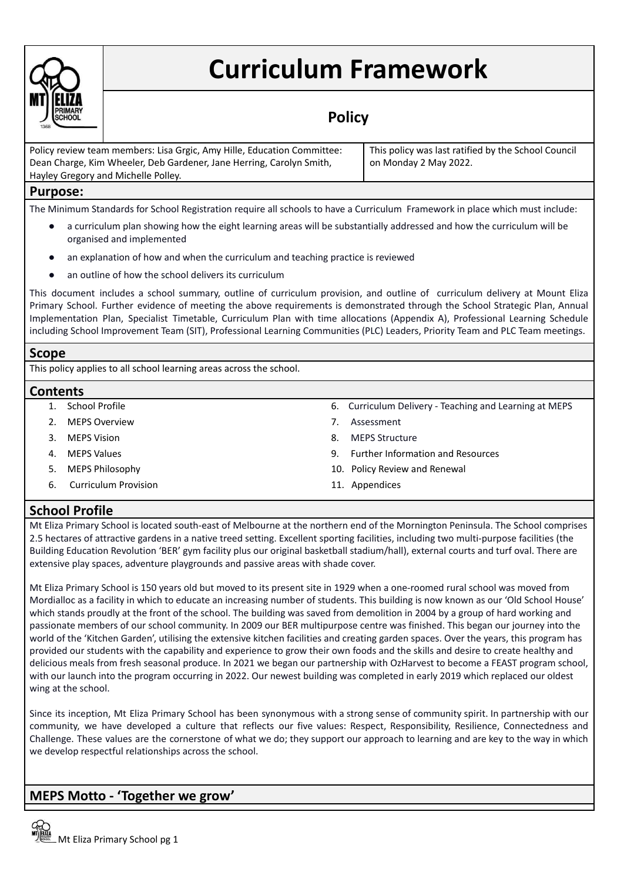

# **Curriculum Framework**

# **Policy**

| Policy review team members: Lisa Grgic, Amy Hille, Education Committee: | This policy was last ratified by the School Council |
|-------------------------------------------------------------------------|-----------------------------------------------------|
| Dean Charge, Kim Wheeler, Deb Gardener, Jane Herring, Carolyn Smith,    | on Monday 2 May 2022.                               |
| Hayley Gregory and Michelle Polley.                                     |                                                     |

# **Purpose:**

The Minimum Standards for School Registration require all schools to have a Curriculum Framework in place which must include:

- a curriculum plan showing how the eight learning areas will be substantially addressed and how the curriculum will be organised and implemented
- an explanation of how and when the curriculum and teaching practice is reviewed
- an outline of how the school delivers its curriculum

This document includes a school summary, outline of curriculum provision, and outline of curriculum delivery at Mount Eliza Primary School. Further evidence of meeting the above requirements is demonstrated through the School Strategic Plan, Annual Implementation Plan, Specialist Timetable, Curriculum Plan with time allocations (Appendix A), Professional Learning Schedule including School Improvement Team (SIT), Professional Learning Communities (PLC) Leaders, Priority Team and PLC Team meetings.

## **Scope**

This policy applies to all school learning areas across the school.

## **Contents**

- 
- 2. MEPS Overview **7. Assessment**
- 
- 
- 
- 6. Curriculum Provision 11. Appendices
- 1. School Profile 6. Curriculum Delivery Teaching and Learning at MEPS
	-
- 3. MEPS Vision 8. MEPS Structure
- 4. MEPS Values 9. Further Information and Resources
- 5. MEPS Philosophy 10. Policy Review and Renewal
	-

# **School Profile**

Mt Eliza Primary School is located south-east of Melbourne at the northern end of the Mornington Peninsula. The School comprises 2.5 hectares of attractive gardens in a native treed setting. Excellent sporting facilities, including two multi-purpose facilities (the Building Education Revolution 'BER' gym facility plus our original basketball stadium/hall), external courts and turf oval. There are extensive play spaces, adventure playgrounds and passive areas with shade cover.

Mt Eliza Primary School is 150 years old but moved to its present site in 1929 when a one-roomed rural school was moved from Mordialloc as a facility in which to educate an increasing number of students. This building is now known as our 'Old School House' which stands proudly at the front of the school. The building was saved from demolition in 2004 by a group of hard working and passionate members of our school community. In 2009 our BER multipurpose centre was finished. This began our journey into the world of the 'Kitchen Garden', utilising the extensive kitchen facilities and creating garden spaces. Over the years, this program has provided our students with the capability and experience to grow their own foods and the skills and desire to create healthy and delicious meals from fresh seasonal produce. In 2021 we began our partnership with OzHarvest to become a FEAST program school, with our launch into the program occurring in 2022. Our newest building was completed in early 2019 which replaced our oldest wing at the school.

Since its inception, Mt Eliza Primary School has been synonymous with a strong sense of community spirit. In partnership with our community, we have developed a culture that reflects our five values: Respect, Responsibility, Resilience, Connectedness and Challenge. These values are the cornerstone of what we do; they support our approach to learning and are key to the way in which we develop respectful relationships across the school.

# **MEPS Motto - 'Together we grow'**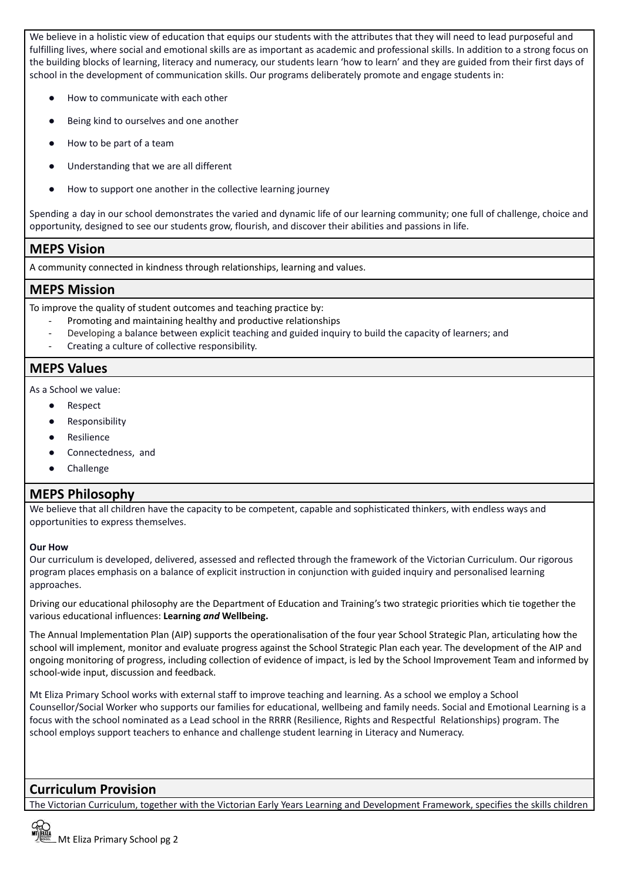We believe in a holistic view of education that equips our students with the attributes that they will need to lead purposeful and fulfilling lives, where social and emotional skills are as important as academic and professional skills. In addition to a strong focus on the building blocks of learning, literacy and numeracy, our students learn 'how to learn' and they are guided from their first days of school in the development of communication skills. Our programs deliberately promote and engage students in:

- How to communicate with each other
- Being kind to ourselves and one another
- How to be part of a team
- Understanding that we are all different
- How to support one another in the collective learning journey

Spending a day in our school demonstrates the varied and dynamic life of our learning community; one full of challenge, choice and opportunity, designed to see our students grow, flourish, and discover their abilities and passions in life.

# **MEPS Vision**

A community connected in kindness through relationships, learning and values.

# **MEPS Mission**

To improve the quality of student outcomes and teaching practice by:

- Promoting and maintaining healthy and productive relationships
- Developing a balance between explicit teaching and guided inquiry to build the capacity of learners; and
- Creating a culture of collective responsibility.

# **MEPS Values**

As a School we value:

- Respect
- Responsibility
- Resilience
- Connectedness, and
- Challenge

# **MEPS Philosophy**

We believe that all children have the capacity to be competent, capable and sophisticated thinkers, with endless ways and opportunities to express themselves.

## **Our How**

Our curriculum is developed, delivered, assessed and reflected through the framework of the Victorian Curriculum. Our rigorous program places emphasis on a balance of explicit instruction in conjunction with guided inquiry and personalised learning approaches.

Driving our educational philosophy are the Department of Education and Training's two strategic priorities which tie together the various educational influences: **Learning** *and* **Wellbeing.**

The Annual Implementation Plan (AIP) supports the operationalisation of the four year School Strategic Plan, articulating how the school will implement, monitor and evaluate progress against the School Strategic Plan each year. The development of the AIP and ongoing monitoring of progress, including collection of evidence of impact, is led by the School Improvement Team and informed by school-wide input, discussion and feedback.

Mt Eliza Primary School works with external staff to improve teaching and learning. As a school we employ a School Counsellor/Social Worker who supports our families for educational, wellbeing and family needs. Social and Emotional Learning is a focus with the school nominated as a Lead school in the RRRR (Resilience, Rights and Respectful Relationships) program. The school employs support teachers to enhance and challenge student learning in Literacy and Numeracy.

# **Curriculum Provision**

The Victorian Curriculum, together with the Victorian Early Years Learning and Development Framework, specifies the skills children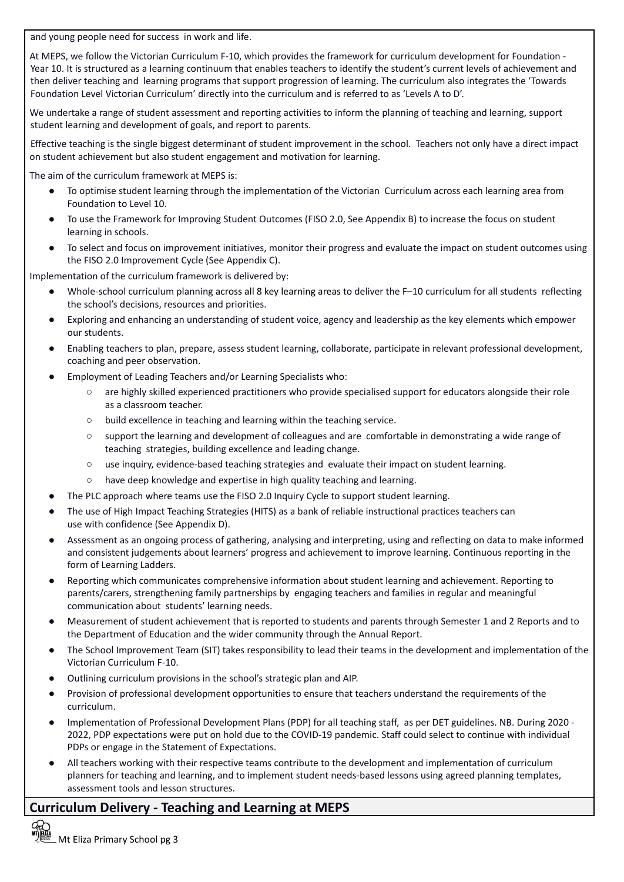and young people need for success in work and life.

At MEPS, we follow the Victorian Curriculum F-10, which provides the framework for curriculum development for Foundation - Year 10. It is structured as a learning continuum that enables teachers to identify the student's current levels of achievement and then deliver teaching and learning programs that support progression of learning. The curriculum also integrates the 'Towards Foundation Level Victorian Curriculum' directly into the curriculum and is referred to as 'Levels A to D'.

We undertake a range of student assessment and reporting activities to inform the planning of teaching and learning, support student learning and development of goals, and report to parents.

Effective teaching is the single biggest determinant of student improvement in the school. Teachers not only have a direct impact on student achievement but also student engagement and motivation for learning.

The aim of the curriculum framework at MEPS is:

- To optimise student learning through the implementation of the Victorian Curriculum across each learning area from Foundation to Level 10.
- To use the Framework for Improving Student Outcomes (FISO 2.0, See Appendix B) to increase the focus on student learning in schools.
- To select and focus on improvement initiatives, monitor their progress and evaluate the impact on student outcomes using the FISO 2.0 Improvement Cycle (See Appendix C).

Implementation of the curriculum framework is delivered by:

- Whole-school curriculum planning across all 8 key learning areas to deliver the F-10 curriculum for all students reflecting the school's decisions, resources and priorities.
- Exploring and enhancing an understanding of student voice, agency and leadership as the key elements which empower our students.
- Enabling teachers to plan, prepare, assess student learning, collaborate, participate in relevant professional development, coaching and peer observation.
- Employment of Leading Teachers and/or Learning Specialists who:
	- are highly skilled experienced practitioners who provide specialised support for educators alongside their role as a classroom teacher.
	- build excellence in teaching and learning within the teaching service.
	- support the learning and development of colleagues and are comfortable in demonstrating a wide range of teaching strategies, building excellence and leading change.
	- use inquiry, evidence-based teaching strategies and evaluate their impact on student learning.
	- have deep knowledge and expertise in high quality teaching and learning.
- The PLC approach where teams use the FISO 2.0 Inquiry Cycle to support student learning.
- The use of High Impact Teaching Strategies (HITS) as a bank of reliable instructional practices teachers can use with confidence (See Appendix D).
- Assessment as an ongoing process of gathering, analysing and interpreting, using and reflecting on data to make informed and consistent judgements about learners' progress and achievement to improve learning. Continuous reporting in the form of Learning Ladders.
- Reporting which communicates comprehensive information about student learning and achievement. Reporting to parents/carers, strengthening family partnerships by engaging teachers and families in regular and meaningful communication about students' learning needs.
- Measurement of student achievement that is reported to students and parents through Semester 1 and 2 Reports and to the Department of Education and the wider community through the Annual Report.
- The School Improvement Team (SIT) takes responsibility to lead their teams in the development and implementation of the Victorian Curriculum F-10.
- Outlining curriculum provisions in the school's strategic plan and AIP.
- Provision of professional development opportunities to ensure that teachers understand the requirements of the curriculum.
- Implementation of Professional Development Plans (PDP) for all teaching staff, as per DET guidelines. NB. During 2020 -2022, PDP expectations were put on hold due to the COVID-19 pandemic. Staff could select to continue with individual PDPs or engage in the Statement of Expectations.
- All teachers working with their respective teams contribute to the development and implementation of curriculum planners for teaching and learning, and to implement student needs-based lessons using agreed planning templates, assessment tools and lesson structures.

# **Curriculum Delivery - Teaching and Learning at MEPS**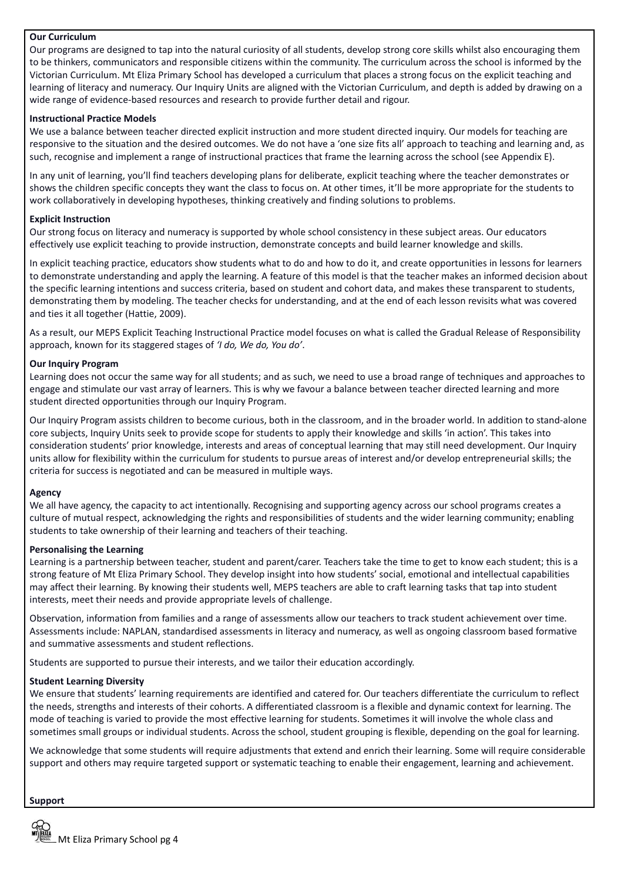## **Our Curriculum**

Our programs are designed to tap into the natural curiosity of all students, develop strong core skills whilst also encouraging them to be thinkers, communicators and responsible citizens within the community. The curriculum across the school is informed by the Victorian Curriculum. Mt Eliza Primary School has developed a curriculum that places a strong focus on the explicit teaching and learning of literacy and numeracy. Our Inquiry Units are aligned with the Victorian Curriculum, and depth is added by drawing on a wide range of evidence-based resources and research to provide further detail and rigour.

#### **Instructional Practice Models**

We use a balance between teacher directed explicit instruction and more student directed inquiry. Our models for teaching are responsive to the situation and the desired outcomes. We do not have a 'one size fits all' approach to teaching and learning and, as such, recognise and implement a range of instructional practices that frame the learning across the school (see Appendix E).

In any unit of learning, you'll find teachers developing plans for deliberate, explicit teaching where the teacher demonstrates or shows the children specific concepts they want the class to focus on. At other times, it'll be more appropriate for the students to work collaboratively in developing hypotheses, thinking creatively and finding solutions to problems.

#### **Explicit Instruction**

Our strong focus on literacy and numeracy is supported by whole school consistency in these subject areas. Our educators effectively use explicit teaching to provide instruction, demonstrate concepts and build learner knowledge and skills.

In explicit teaching practice, educators show students what to do and how to do it, and create opportunities in lessons for learners to demonstrate understanding and apply the learning. A feature of this model is that the teacher makes an informed decision about the specific learning intentions and success criteria, based on student and cohort data, and makes these transparent to students, demonstrating them by modeling. The teacher checks for understanding, and at the end of each lesson revisits what was covered and ties it all together (Hattie, 2009).

As a result, our MEPS Explicit Teaching Instructional Practice model focuses on what is called the Gradual Release of Responsibility approach, known for its staggered stages of *'I do, We do, You do'*.

#### **Our Inquiry Program**

Learning does not occur the same way for all students; and as such, we need to use a broad range of techniques and approaches to engage and stimulate our vast array of learners. This is why we favour a balance between teacher directed learning and more student directed opportunities through our Inquiry Program.

Our Inquiry Program assists children to become curious, both in the classroom, and in the broader world. In addition to stand-alone core subjects, Inquiry Units seek to provide scope for students to apply their knowledge and skills 'in action'. This takes into consideration students' prior knowledge, interests and areas of conceptual learning that may still need development. Our Inquiry units allow for flexibility within the curriculum for students to pursue areas of interest and/or develop entrepreneurial skills; the criteria for success is negotiated and can be measured in multiple ways.

#### **Agency**

We all have agency, the capacity to act intentionally. Recognising and supporting agency across our school programs creates a culture of mutual respect, acknowledging the rights and responsibilities of students and the wider learning community; enabling students to take ownership of their learning and teachers of their teaching.

#### **Personalising the Learning**

Learning is a partnership between teacher, student and parent/carer. Teachers take the time to get to know each student; this is a strong feature of Mt Eliza Primary School. They develop insight into how students' social, emotional and intellectual capabilities may affect their learning. By knowing their students well, MEPS teachers are able to craft learning tasks that tap into student interests, meet their needs and provide appropriate levels of challenge.

Observation, information from families and a range of assessments allow our teachers to track student achievement over time. Assessments include: NAPLAN, standardised assessments in literacy and numeracy, as well as ongoing classroom based formative and summative assessments and student reflections.

Students are supported to pursue their interests, and we tailor their education accordingly.

## **Student Learning Diversity**

We ensure that students' learning requirements are identified and catered for. Our teachers differentiate the curriculum to reflect the needs, strengths and interests of their cohorts. A differentiated classroom is a flexible and dynamic context for learning. The mode of teaching is varied to provide the most effective learning for students. Sometimes it will involve the whole class and sometimes small groups or individual students. Across the school, student grouping is flexible, depending on the goal for learning.

We acknowledge that some students will require adjustments that extend and enrich their learning. Some will require considerable support and others may require targeted support or systematic teaching to enable their engagement, learning and achievement.

#### **Support**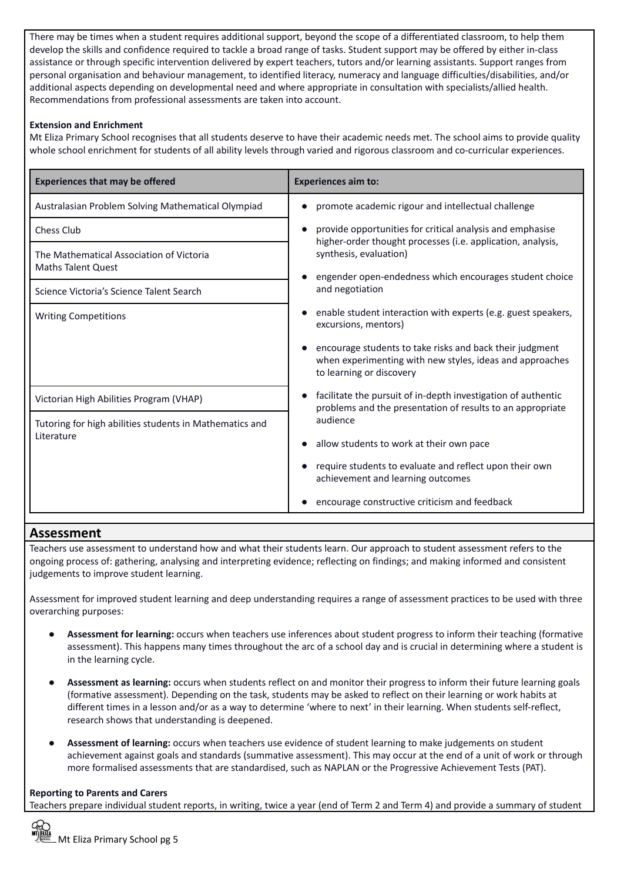There may be times when a student requires additional support, beyond the scope of a differentiated classroom, to help them develop the skills and confidence required to tackle a broad range of tasks. Student support may be offered by either in-class assistance or through specific intervention delivered by expert teachers, tutors and/or learning assistants. Support ranges from personal organisation and behaviour management, to identified literacy, numeracy and language difficulties/disabilities, and/or additional aspects depending on developmental need and where appropriate in consultation with specialists/allied health. Recommendations from professional assessments are taken into account.

## **Extension and Enrichment**

Mt Eliza Primary School recognises that all students deserve to have their academic needs met. The school aims to provide quality whole school enrichment for students of all ability levels through varied and rigorous classroom and co-curricular experiences.

| <b>Experiences that may be offered</b>                                | <b>Experiences aim to:</b>                                                                                                                       |  |
|-----------------------------------------------------------------------|--------------------------------------------------------------------------------------------------------------------------------------------------|--|
| Australasian Problem Solving Mathematical Olympiad                    | promote academic rigour and intellectual challenge                                                                                               |  |
| Chess Club                                                            | provide opportunities for critical analysis and emphasise                                                                                        |  |
| The Mathematical Association of Victoria<br><b>Maths Talent Quest</b> | higher-order thought processes (i.e. application, analysis,<br>synthesis, evaluation)                                                            |  |
| Science Victoria's Science Talent Search                              | engender open-endedness which encourages student choice<br>and negotiation                                                                       |  |
| <b>Writing Competitions</b>                                           | enable student interaction with experts (e.g. guest speakers,<br>excursions, mentors)                                                            |  |
|                                                                       | encourage students to take risks and back their judgment<br>when experimenting with new styles, ideas and approaches<br>to learning or discovery |  |
| Victorian High Abilities Program (VHAP)                               | facilitate the pursuit of in-depth investigation of authentic<br>problems and the presentation of results to an appropriate                      |  |
| Tutoring for high abilities students in Mathematics and<br>Literature | audience                                                                                                                                         |  |
|                                                                       | allow students to work at their own pace                                                                                                         |  |
|                                                                       | require students to evaluate and reflect upon their own<br>achievement and learning outcomes                                                     |  |
|                                                                       | encourage constructive criticism and feedback                                                                                                    |  |

# **Assessment**

Teachers use assessment to understand how and what their students learn. Our approach to student assessment refers to the ongoing process of: gathering, analysing and interpreting evidence; reflecting on findings; and making informed and consistent judgements to improve student learning.

Assessment for improved student learning and deep understanding requires a range of assessment practices to be used with three overarching purposes:

- Assessment for learning: occurs when teachers use inferences about student progress to inform their teaching (formative assessment). This happens many times throughout the arc of a school day and is crucial in determining where a student is in the learning cycle.
- **Assessment as learning:** occurs when students reflect on and monitor their progress to inform their future learning goals (formative assessment). Depending on the task, students may be asked to reflect on their learning or work habits at different times in a lesson and/or as a way to determine 'where to next' in their learning. When students self-reflect, research shows that understanding is deepened.
- **Assessment of learning:** occurs when teachers use evidence of student learning to make judgements on student achievement against goals and standards (summative assessment). This may occur at the end of a unit of work or through more formalised assessments that are standardised, such as NAPLAN or the Progressive Achievement Tests (PAT).

## **Reporting to Parents and Carers**

Teachers prepare individual student reports, in writing, twice a year (end of Term 2 and Term 4) and provide a summary of student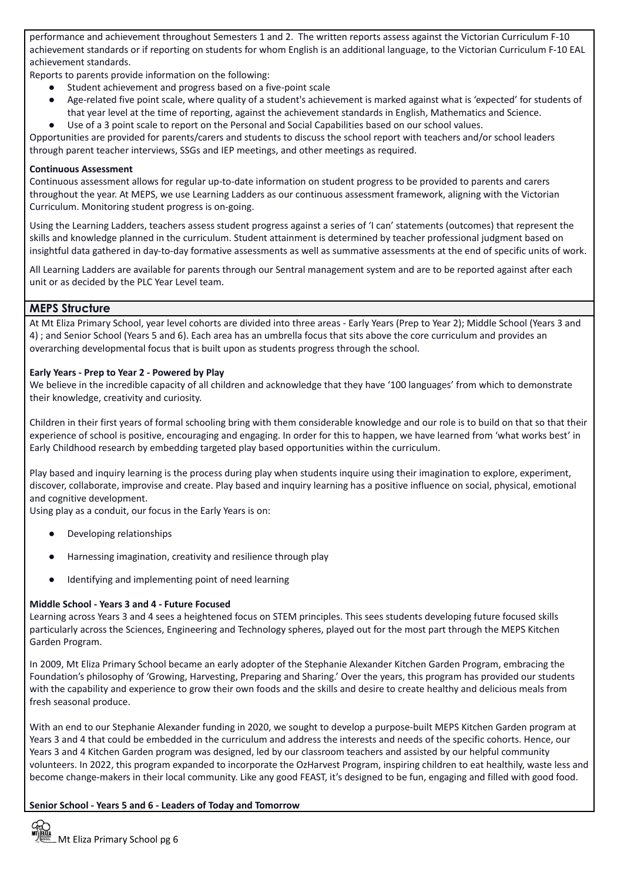performance and achievement throughout Semesters 1 and 2. The written reports assess against the Victorian Curriculum F-10 achievement standards or if reporting on students for whom English is an additional language, to the Victorian Curriculum F-10 EAL achievement standards.

Reports to parents provide information on the following:

- Student achievement and progress based on a five-point scale
- Age-related five point scale, where quality of a student's achievement is marked against what is 'expected' for students of that year level at the time of reporting, against the achievement standards in English, Mathematics and Science.
- Use of a 3 point scale to report on the Personal and Social Capabilities based on our school values.

Opportunities are provided for parents/carers and students to discuss the school report with teachers and/or school leaders through parent teacher interviews, SSGs and IEP meetings, and other meetings as required.

#### **Continuous Assessment**

Continuous assessment allows for regular up-to-date information on student progress to be provided to parents and carers throughout the year. At MEPS, we use Learning Ladders as our continuous assessment framework, aligning with the Victorian Curriculum. Monitoring student progress is on-going.

Using the Learning Ladders, teachers assess student progress against a series of 'I can' statements (outcomes) that represent the skills and knowledge planned in the curriculum. Student attainment is determined by teacher professional judgment based on insightful data gathered in day-to-day formative assessments as well as summative assessments at the end of specific units of work.

All Learning Ladders are available for parents through our Sentral management system and are to be reported against after each unit or as decided by the PLC Year Level team.

## **MEPS Structure**

At Mt Eliza Primary School, year level cohorts are divided into three areas - Early Years (Prep to Year 2); Middle School (Years 3 and 4) ; and Senior School (Years 5 and 6). Each area has an umbrella focus that sits above the core curriculum and provides an overarching developmental focus that is built upon as students progress through the school.

#### **Early Years - Prep to Year 2 - Powered by Play**

We believe in the incredible capacity of all children and acknowledge that they have '100 languages' from which to demonstrate their knowledge, creativity and curiosity.

Children in their first years of formal schooling bring with them considerable knowledge and our role is to build on that so that their experience of school is positive, encouraging and engaging. In order for this to happen, we have learned from 'what works best' in Early Childhood research by embedding targeted play based opportunities within the curriculum.

Play based and inquiry learning is the process during play when students inquire using their imagination to explore, experiment, discover, collaborate, improvise and create. Play based and inquiry learning has a positive influence on social, physical, emotional and cognitive development.

Using play as a conduit, our focus in the Early Years is on:

- Developing relationships
- Harnessing imagination, creativity and resilience through play
- Identifying and implementing point of need learning

#### **Middle School - Years 3 and 4 - Future Focused**

Learning across Years 3 and 4 sees a heightened focus on STEM principles. This sees students developing future focused skills particularly across the Sciences, Engineering and Technology spheres, played out for the most part through the MEPS Kitchen Garden Program.

In 2009, Mt Eliza Primary School became an early adopter of the Stephanie Alexander Kitchen Garden Program, embracing the Foundation's philosophy of 'Growing, Harvesting, Preparing and Sharing.' Over the years, this program has provided our students with the capability and experience to grow their own foods and the skills and desire to create healthy and delicious meals from fresh seasonal produce.

With an end to our Stephanie Alexander funding in 2020, we sought to develop a purpose-built MEPS Kitchen Garden program at Years 3 and 4 that could be embedded in the curriculum and address the interests and needs of the specific cohorts. Hence, our Years 3 and 4 Kitchen Garden program was designed, led by our classroom teachers and assisted by our helpful community volunteers. In 2022, this program expanded to incorporate the OzHarvest Program, inspiring children to eat healthily, waste less and become change-makers in their local community. Like any good FEAST, it's designed to be fun, engaging and filled with good food.

## **Senior School - Years 5 and 6 - Leaders of Today and Tomorrow**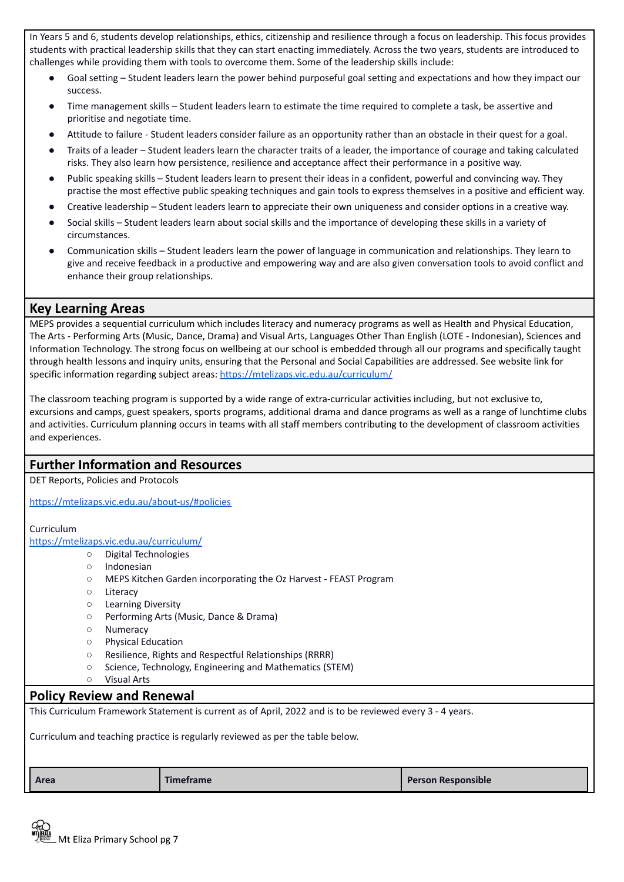In Years 5 and 6, students develop relationships, ethics, citizenship and resilience through a focus on leadership. This focus provides students with practical leadership skills that they can start enacting immediately. Across the two years, students are introduced to challenges while providing them with tools to overcome them. Some of the leadership skills include:

- Goal setting Student leaders learn the power behind purposeful goal setting and expectations and how they impact our success.
- Time management skills Student leaders learn to estimate the time required to complete a task, be assertive and prioritise and negotiate time.
- Attitude to failure Student leaders consider failure as an opportunity rather than an obstacle in their quest for a goal.
- Traits of a leader Student leaders learn the character traits of a leader, the importance of courage and taking calculated risks. They also learn how persistence, resilience and acceptance affect their performance in a positive way.
- Public speaking skills Student leaders learn to present their ideas in a confident, powerful and convincing way. They practise the most effective public speaking techniques and gain tools to express themselves in a positive and efficient way.
- Creative leadership Student leaders learn to appreciate their own uniqueness and consider options in a creative way.
- Social skills Student leaders learn about social skills and the importance of developing these skills in a variety of circumstances.
- Communication skills Student leaders learn the power of language in communication and relationships. They learn to give and receive feedback in a productive and empowering way and are also given conversation tools to avoid conflict and enhance their group relationships.

# **Key Learning Areas**

MEPS provides a sequential curriculum which includes literacy and numeracy programs as well as Health and Physical Education, The Arts - Performing Arts (Music, Dance, Drama) and Visual Arts, Languages Other Than English (LOTE - Indonesian), Sciences and Information Technology. The strong focus on wellbeing at our school is embedded through all our programs and specifically taught through health lessons and inquiry units, ensuring that the Personal and Social Capabilities are addressed. See website link for specific information regarding subject areas: <https://mtelizaps.vic.edu.au/curriculum/>

The classroom teaching program is supported by a wide range of extra-curricular activities including, but not exclusive to, excursions and camps, guest speakers, sports programs, additional drama and dance programs as well as a range of lunchtime clubs and activities. Curriculum planning occurs in teams with all staff members contributing to the development of classroom activities and experiences.

# **Further Information and Resources** DET Reports, Policies and Protocols <https://mtelizaps.vic.edu.au/about-us/#policies> Curriculum <https://mtelizaps.vic.edu.au/curriculum/> ○ Digital Technologies ○ Indonesian ○ MEPS Kitchen Garden incorporating the Oz Harvest - FEAST Program ○ Literacy ○ Learning Diversity ○ Performing Arts (Music, Dance & Drama) ○ Numeracy ○ Physical Education ○ Resilience, Rights and Respectful Relationships (RRRR) ○ Science, Technology, Engineering and Mathematics (STEM) ○ Visual Arts **Policy Review and Renewal** This Curriculum Framework Statement is current as of April, 2022 and is to be reviewed every 3 - 4 years. Curriculum and teaching practice is regularly reviewed as per the table below. **Area Timeframe Person Responsible**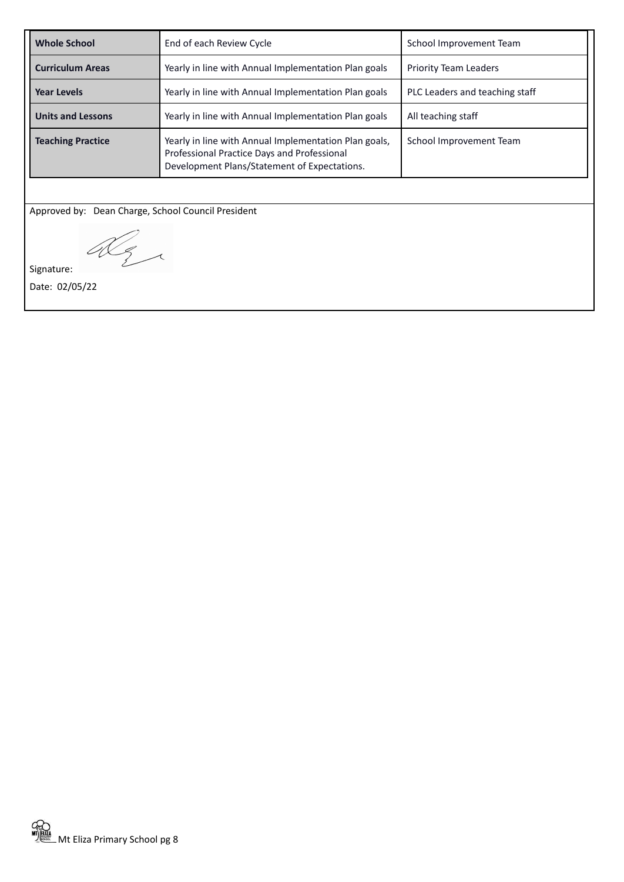| <b>Whole School</b>                                                                                                                                                              | End of each Review Cycle<br>School Improvement Team                                    |                         |
|----------------------------------------------------------------------------------------------------------------------------------------------------------------------------------|----------------------------------------------------------------------------------------|-------------------------|
| <b>Curriculum Areas</b>                                                                                                                                                          | Yearly in line with Annual Implementation Plan goals<br><b>Priority Team Leaders</b>   |                         |
| <b>Year Levels</b>                                                                                                                                                               | Yearly in line with Annual Implementation Plan goals<br>PLC Leaders and teaching staff |                         |
| <b>Units and Lessons</b>                                                                                                                                                         | Yearly in line with Annual Implementation Plan goals                                   | All teaching staff      |
| <b>Teaching Practice</b><br>Yearly in line with Annual Implementation Plan goals,<br>Professional Practice Days and Professional<br>Development Plans/Statement of Expectations. |                                                                                        | School Improvement Team |
|                                                                                                                                                                                  |                                                                                        |                         |

Approved by: Dean Charge, School Council President

Dez

Signature:

Date: 02/05/22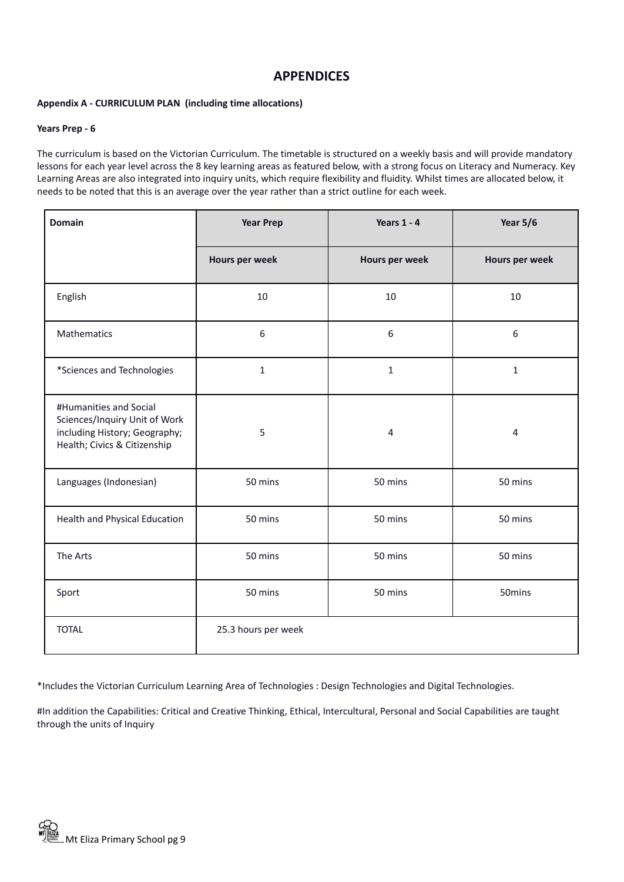# **APPENDICES**

## **Appendix A - CURRICULUM PLAN (including time allocations)**

#### **Years Prep - 6**

The curriculum is based on the Victorian Curriculum. The timetable is structured on a weekly basis and will provide mandatory lessons for each year level across the 8 key learning areas as featured below, with a strong focus on Literacy and Numeracy. Key Learning Areas are also integrated into inquiry units, which require flexibility and fluidity. Whilst times are allocated below, it needs to be noted that this is an average over the year rather than a strict outline for each week.

| <b>Domain</b>                                                                                                            | <b>Year Prep</b>    | Years $1 - 4$  | Year 5/6       |
|--------------------------------------------------------------------------------------------------------------------------|---------------------|----------------|----------------|
|                                                                                                                          | Hours per week      | Hours per week | Hours per week |
| English                                                                                                                  | 10                  | 10             | 10             |
| Mathematics                                                                                                              | $6\phantom{1}6$     | 6              | 6              |
| *Sciences and Technologies                                                                                               | $\mathbf{1}$        | $\mathbf{1}$   | $\mathbf{1}$   |
| #Humanities and Social<br>Sciences/Inquiry Unit of Work<br>including History; Geography;<br>Health; Civics & Citizenship | 5                   | $\overline{4}$ | 4              |
| Languages (Indonesian)                                                                                                   | 50 mins             | 50 mins        | 50 mins        |
| Health and Physical Education                                                                                            | 50 mins             | 50 mins        | 50 mins        |
| The Arts                                                                                                                 | 50 mins             | 50 mins        | 50 mins        |
| Sport                                                                                                                    | 50 mins             | 50 mins        | 50mins         |
| <b>TOTAL</b>                                                                                                             | 25.3 hours per week |                |                |

\*Includes the Victorian Curriculum Learning Area of Technologies : Design Technologies and Digital Technologies.

#In addition the Capabilities: Critical and Creative Thinking, Ethical, Intercultural, Personal and Social Capabilities are taught through the units of Inquiry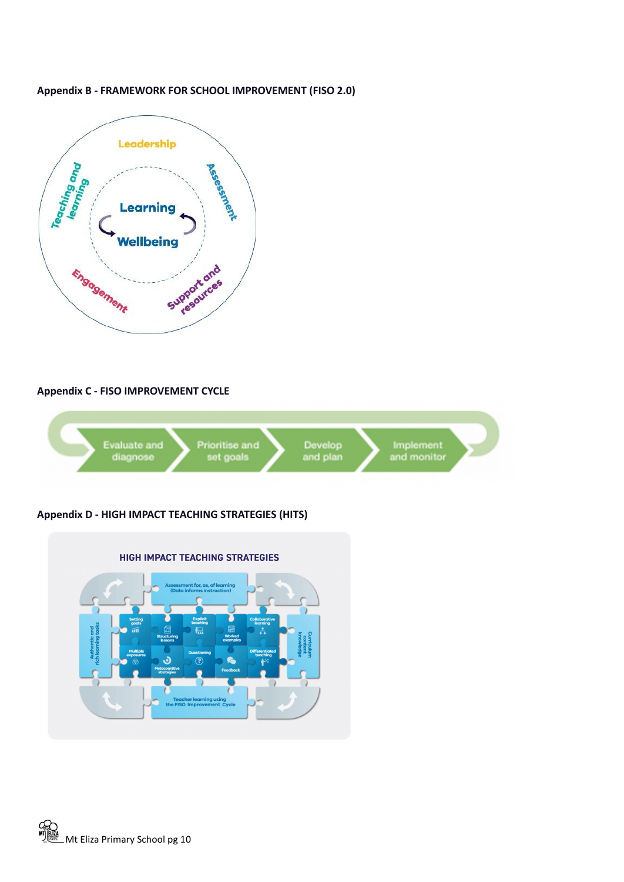

## **Appendix B - FRAMEWORK FOR SCHOOL IMPROVEMENT (FISO 2.0)**

## **Appendix C - FISO IMPROVEMENT CYCLE**



# **Appendix D - HIGH IMPACT TEACHING STRATEGIES (HITS)**